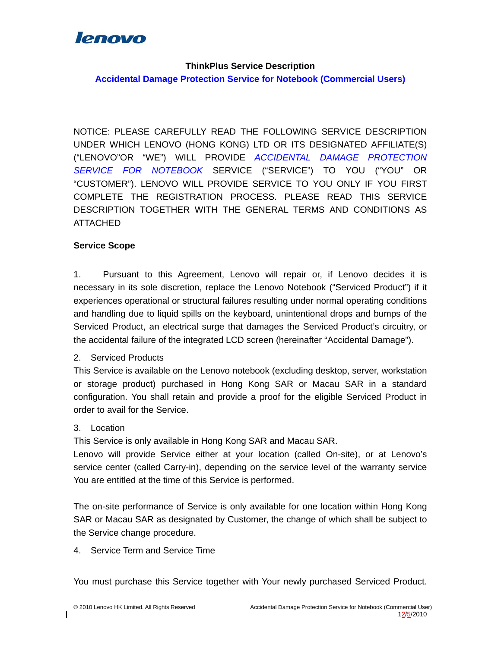

#### **ThinkPlus Service Description**

**Accidental Damage Protection Service for Notebook (Commercial Users)** 

NOTICE: PLEASE CAREFULLY READ THE FOLLOWING SERVICE DESCRIPTION UNDER WHICH LENOVO (HONG KONG) LTD OR ITS DESIGNATED AFFILIATE(S) ("LENOVO"OR "WE") WILL PROVIDE *ACCIDENTAL DAMAGE PROTECTION SERVICE FOR NOTEBOOK* SERVICE ("SERVICE") TO YOU ("YOU" OR "CUSTOMER"). LENOVO WILL PROVIDE SERVICE TO YOU ONLY IF YOU FIRST COMPLETE THE REGISTRATION PROCESS. PLEASE READ THIS SERVICE DESCRIPTION TOGETHER WITH THE GENERAL TERMS AND CONDITIONS AS ATTACHED

### **Service Scope**

1. Pursuant to this Agreement, Lenovo will repair or, if Lenovo decides it is necessary in its sole discretion, replace the Lenovo Notebook ("Serviced Product") if it experiences operational or structural failures resulting under normal operating conditions and handling due to liquid spills on the keyboard, unintentional drops and bumps of the Serviced Product, an electrical surge that damages the Serviced Product's circuitry, or the accidental failure of the integrated LCD screen (hereinafter "Accidental Damage").

### 2. Serviced Products

This Service is available on the Lenovo notebook (excluding desktop, server, workstation or storage product) purchased in Hong Kong SAR or Macau SAR in a standard configuration. You shall retain and provide a proof for the eligible Serviced Product in order to avail for the Service.

### 3. Location

This Service is only available in Hong Kong SAR and Macau SAR.

Lenovo will provide Service either at your location (called On-site), or at Lenovo's service center (called Carry-in), depending on the service level of the warranty service You are entitled at the time of this Service is performed.

The on-site performance of Service is only available for one location within Hong Kong SAR or Macau SAR as designated by Customer, the change of which shall be subject to the Service change procedure.

4. Service Term and Service Time

You must purchase this Service together with Your newly purchased Serviced Product.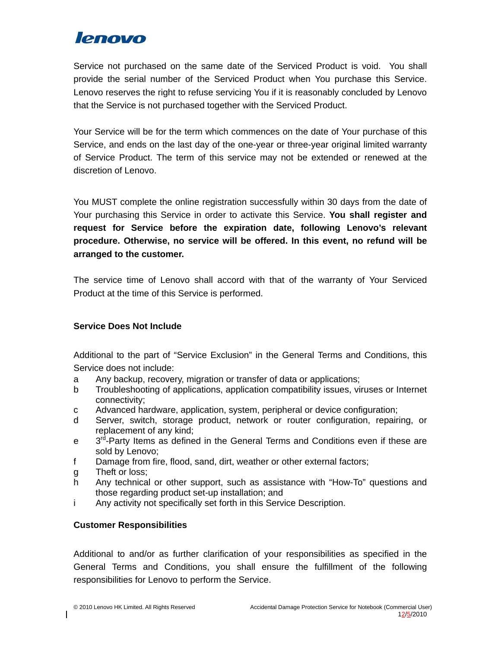Service not purchased on the same date of the Serviced Product is void. You shall provide the serial number of the Serviced Product when You purchase this Service. Lenovo reserves the right to refuse servicing You if it is reasonably concluded by Lenovo that the Service is not purchased together with the Serviced Product.

Your Service will be for the term which commences on the date of Your purchase of this Service, and ends on the last day of the one-year or three-year original limited warranty of Service Product. The term of this service may not be extended or renewed at the discretion of Lenovo.

You MUST complete the online registration successfully within 30 days from the date of Your purchasing this Service in order to activate this Service. **You shall register and request for Service before the expiration date, following Lenovo's relevant procedure. Otherwise, no service will be offered. In this event, no refund will be arranged to the customer.**

The service time of Lenovo shall accord with that of the warranty of Your Serviced Product at the time of this Service is performed.

### **Service Does Not Include**

Additional to the part of "Service Exclusion" in the General Terms and Conditions, this Service does not include:

- a Any backup, recovery, migration or transfer of data or applications;
- b Troubleshooting of applications, application compatibility issues, viruses or Internet connectivity;
- c Advanced hardware, application, system, peripheral or device configuration;
- d Server, switch, storage product, network or router configuration, repairing, or replacement of any kind;
- $e$  3<sup>rd</sup>-Party Items as defined in the General Terms and Conditions even if these are sold by Lenovo;
- f Damage from fire, flood, sand, dirt, weather or other external factors;
- g Theft or loss;
- h Any technical or other support, such as assistance with "How-To" questions and those regarding product set-up installation; and
- i Any activity not specifically set forth in this Service Description.

## **Customer Responsibilities**

Additional to and/or as further clarification of your responsibilities as specified in the General Terms and Conditions, you shall ensure the fulfillment of the following responsibilities for Lenovo to perform the Service.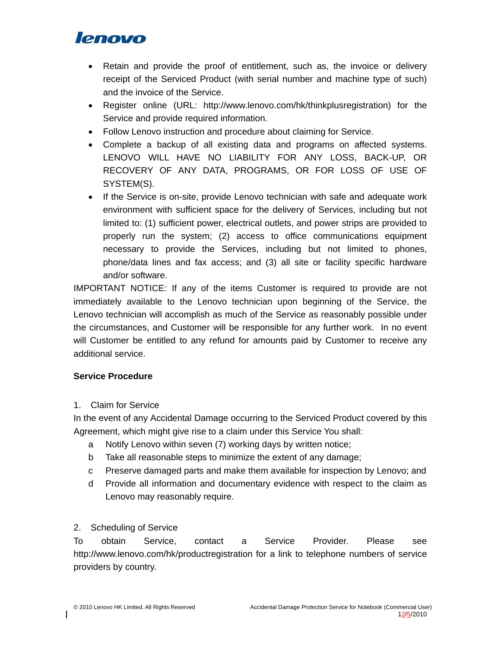- Retain and provide the proof of entitlement, such as, the invoice or delivery receipt of the Serviced Product (with serial number and machine type of such) and the invoice of the Service.
- Register online (URL: http://www.lenovo.com/hk/thinkplusregistration) for the Service and provide required information.
- Follow Lenovo instruction and procedure about claiming for Service.
- Complete a backup of all existing data and programs on affected systems. LENOVO WILL HAVE NO LIABILITY FOR ANY LOSS, BACK-UP, OR RECOVERY OF ANY DATA, PROGRAMS, OR FOR LOSS OF USE OF SYSTEM(S).
- If the Service is on-site, provide Lenovo technician with safe and adequate work environment with sufficient space for the delivery of Services, including but not limited to: (1) sufficient power, electrical outlets, and power strips are provided to properly run the system; (2) access to office communications equipment necessary to provide the Services, including but not limited to phones, phone/data lines and fax access; and (3) all site or facility specific hardware and/or software.

IMPORTANT NOTICE: If any of the items Customer is required to provide are not immediately available to the Lenovo technician upon beginning of the Service, the Lenovo technician will accomplish as much of the Service as reasonably possible under the circumstances, and Customer will be responsible for any further work. In no event will Customer be entitled to any refund for amounts paid by Customer to receive any additional service.

## **Service Procedure**

## 1. Claim for Service

In the event of any Accidental Damage occurring to the Serviced Product covered by this Agreement, which might give rise to a claim under this Service You shall:

- a Notify Lenovo within seven (7) working days by written notice;
- b Take all reasonable steps to minimize the extent of any damage;
- c Preserve damaged parts and make them available for inspection by Lenovo; and
- d Provide all information and documentary evidence with respect to the claim as Lenovo may reasonably require.

2. Scheduling of Service

To obtain Service, contact a Service Provider. Please see http://www.lenovo.com/hk/productregistration for a link to telephone numbers of service providers by country.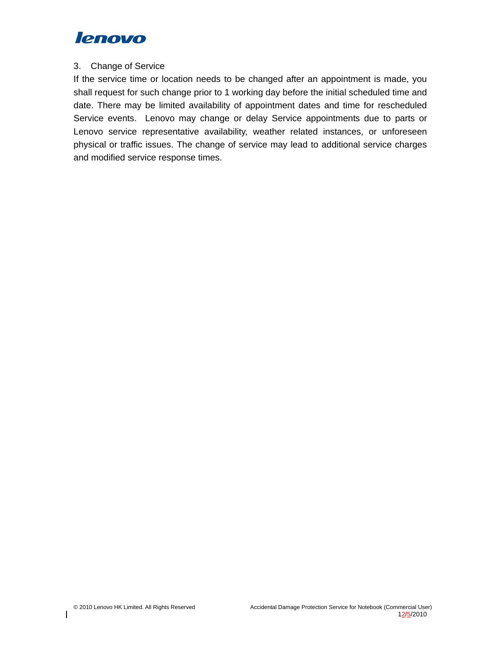

#### 3. Change of Service

If the service time or location needs to be changed after an appointment is made, you shall request for such change prior to 1 working day before the initial scheduled time and date. There may be limited availability of appointment dates and time for rescheduled Service events. Lenovo may change or delay Service appointments due to parts or Lenovo service representative availability, weather related instances, or unforeseen physical or traffic issues. The change of service may lead to additional service charges and modified service response times.

 $\overline{\phantom{a}}$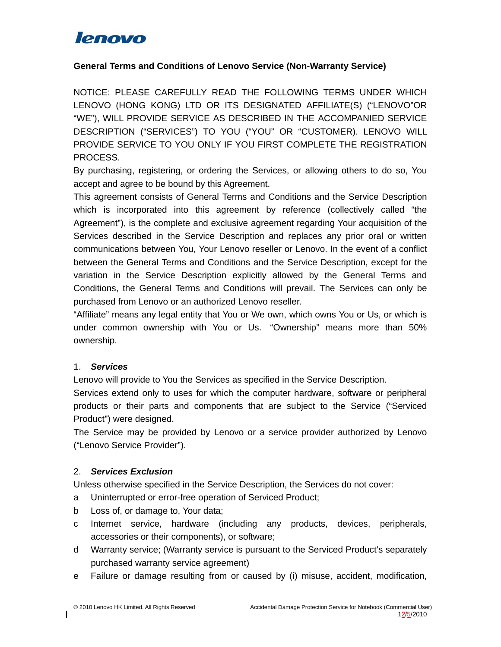

### **General Terms and Conditions of Lenovo Service (Non-Warranty Service)**

NOTICE: PLEASE CAREFULLY READ THE FOLLOWING TERMS UNDER WHICH LENOVO (HONG KONG) LTD OR ITS DESIGNATED AFFILIATE(S) ("LENOVO"OR "WE"), WILL PROVIDE SERVICE AS DESCRIBED IN THE ACCOMPANIED SERVICE DESCRIPTION ("SERVICES") TO YOU ("YOU" OR "CUSTOMER). LENOVO WILL PROVIDE SERVICE TO YOU ONLY IF YOU FIRST COMPLETE THE REGISTRATION PROCESS.

By purchasing, registering, or ordering the Services, or allowing others to do so, You accept and agree to be bound by this Agreement.

This agreement consists of General Terms and Conditions and the Service Description which is incorporated into this agreement by reference (collectively called "the Agreement"), is the complete and exclusive agreement regarding Your acquisition of the Services described in the Service Description and replaces any prior oral or written communications between You, Your Lenovo reseller or Lenovo. In the event of a conflict between the General Terms and Conditions and the Service Description, except for the variation in the Service Description explicitly allowed by the General Terms and Conditions, the General Terms and Conditions will prevail. The Services can only be purchased from Lenovo or an authorized Lenovo reseller.

"Affiliate" means any legal entity that You or We own, which owns You or Us, or which is under common ownership with You or Us. "Ownership" means more than 50% ownership.

#### 1. *Services*

Lenovo will provide to You the Services as specified in the Service Description.

Services extend only to uses for which the computer hardware, software or peripheral products or their parts and components that are subject to the Service ("Serviced Product") were designed.

The Service may be provided by Lenovo or a service provider authorized by Lenovo ("Lenovo Service Provider").

#### 2. *Services Exclusion*

Unless otherwise specified in the Service Description, the Services do not cover:

- a Uninterrupted or error-free operation of Serviced Product;
- b Loss of, or damage to, Your data;
- c Internet service, hardware (including any products, devices, peripherals, accessories or their components), or software;
- d Warranty service; (Warranty service is pursuant to the Serviced Product's separately purchased warranty service agreement)
- e Failure or damage resulting from or caused by (i) misuse, accident, modification,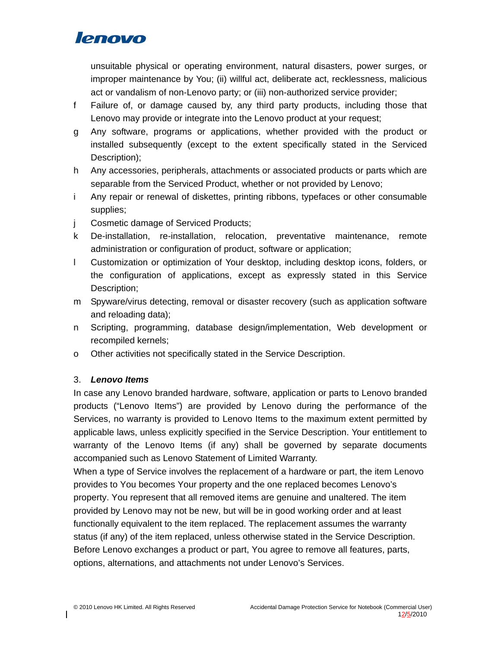unsuitable physical or operating environment, natural disasters, power surges, or improper maintenance by You; (ii) willful act, deliberate act, recklessness, malicious act or vandalism of non-Lenovo party; or (iii) non-authorized service provider;

- f Failure of, or damage caused by, any third party products, including those that Lenovo may provide or integrate into the Lenovo product at your request;
- g Any software, programs or applications, whether provided with the product or installed subsequently (except to the extent specifically stated in the Serviced Description);
- h Any accessories, peripherals, attachments or associated products or parts which are separable from the Serviced Product, whether or not provided by Lenovo;
- i Any repair or renewal of diskettes, printing ribbons, typefaces or other consumable supplies;
- j Cosmetic damage of Serviced Products;
- k De-installation, re-installation, relocation, preventative maintenance, remote administration or configuration of product, software or application;
- l Customization or optimization of Your desktop, including desktop icons, folders, or the configuration of applications, except as expressly stated in this Service Description;
- m Spyware/virus detecting, removal or disaster recovery (such as application software and reloading data);
- n Scripting, programming, database design/implementation, Web development or recompiled kernels;
- o Other activities not specifically stated in the Service Description.

### 3. *Lenovo Items*

In case any Lenovo branded hardware, software, application or parts to Lenovo branded products ("Lenovo Items") are provided by Lenovo during the performance of the Services, no warranty is provided to Lenovo Items to the maximum extent permitted by applicable laws, unless explicitly specified in the Service Description. Your entitlement to warranty of the Lenovo Items (if any) shall be governed by separate documents accompanied such as Lenovo Statement of Limited Warranty.

When a type of Service involves the replacement of a hardware or part, the item Lenovo provides to You becomes Your property and the one replaced becomes Lenovo's property. You represent that all removed items are genuine and unaltered. The item provided by Lenovo may not be new, but will be in good working order and at least functionally equivalent to the item replaced. The replacement assumes the warranty status (if any) of the item replaced, unless otherwise stated in the Service Description. Before Lenovo exchanges a product or part, You agree to remove all features, parts, options, alternations, and attachments not under Lenovo's Services.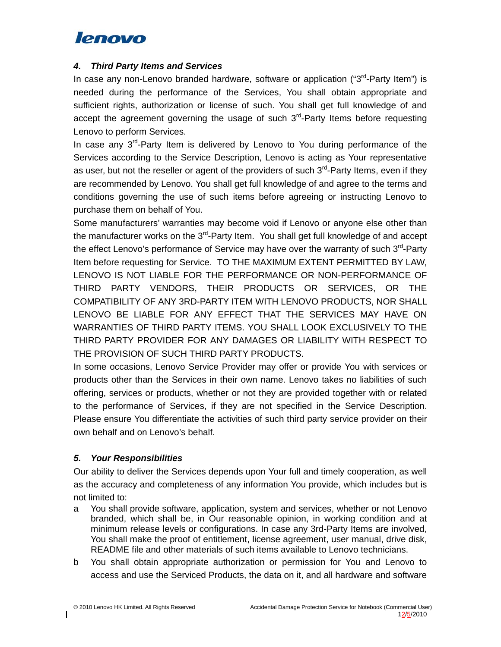### *4. Third Party Items and Services*

In case any non-Lenovo branded hardware, software or application (" $3<sup>rd</sup>$ -Party Item") is needed during the performance of the Services, You shall obtain appropriate and sufficient rights, authorization or license of such. You shall get full knowledge of and accept the agreement governing the usage of such  $3<sup>rd</sup>$ -Party Items before requesting Lenovo to perform Services.

In case any 3<sup>rd</sup>-Party Item is delivered by Lenovo to You during performance of the Services according to the Service Description, Lenovo is acting as Your representative as user, but not the reseller or agent of the providers of such  $3<sup>rd</sup>$ -Party Items, even if they are recommended by Lenovo. You shall get full knowledge of and agree to the terms and conditions governing the use of such items before agreeing or instructing Lenovo to purchase them on behalf of You.

Some manufacturers' warranties may become void if Lenovo or anyone else other than the manufacturer works on the 3<sup>rd</sup>-Party Item. You shall get full knowledge of and accept the effect Lenovo's performance of Service may have over the warranty of such 3<sup>rd</sup>-Party Item before requesting for Service. TO THE MAXIMUM EXTENT PERMITTED BY LAW, LENOVO IS NOT LIABLE FOR THE PERFORMANCE OR NON-PERFORMANCE OF THIRD PARTY VENDORS, THEIR PRODUCTS OR SERVICES, OR THE COMPATIBILITY OF ANY 3RD-PARTY ITEM WITH LENOVO PRODUCTS, NOR SHALL LENOVO BE LIABLE FOR ANY EFFECT THAT THE SERVICES MAY HAVE ON WARRANTIES OF THIRD PARTY ITEMS. YOU SHALL LOOK EXCLUSIVELY TO THE THIRD PARTY PROVIDER FOR ANY DAMAGES OR LIABILITY WITH RESPECT TO THE PROVISION OF SUCH THIRD PARTY PRODUCTS.

In some occasions, Lenovo Service Provider may offer or provide You with services or products other than the Services in their own name. Lenovo takes no liabilities of such offering, services or products, whether or not they are provided together with or related to the performance of Services, if they are not specified in the Service Description. Please ensure You differentiate the activities of such third party service provider on their own behalf and on Lenovo's behalf.

## *5. Your Responsibilities*

Our ability to deliver the Services depends upon Your full and timely cooperation, as well as the accuracy and completeness of any information You provide, which includes but is not limited to:

- a You shall provide software, application, system and services, whether or not Lenovo branded, which shall be, in Our reasonable opinion, in working condition and at minimum release levels or configurations. In case any 3rd-Party Items are involved, You shall make the proof of entitlement, license agreement, user manual, drive disk, README file and other materials of such items available to Lenovo technicians.
- b You shall obtain appropriate authorization or permission for You and Lenovo to access and use the Serviced Products, the data on it, and all hardware and software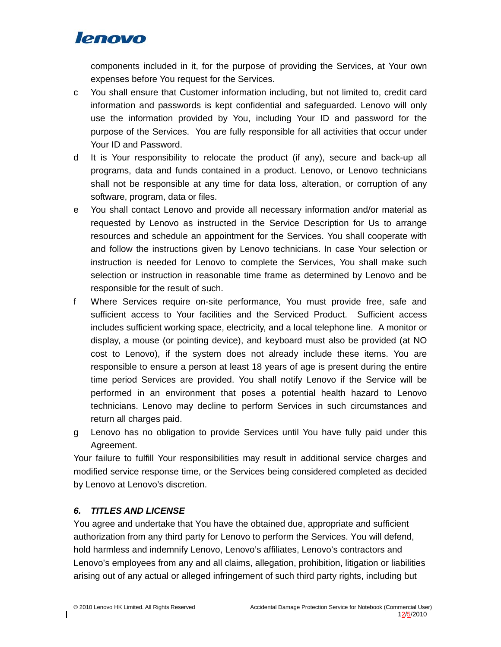

components included in it, for the purpose of providing the Services, at Your own expenses before You request for the Services.

- c You shall ensure that Customer information including, but not limited to, credit card information and passwords is kept confidential and safeguarded. Lenovo will only use the information provided by You, including Your ID and password for the purpose of the Services. You are fully responsible for all activities that occur under Your ID and Password.
- d It is Your responsibility to relocate the product (if any), secure and back-up all programs, data and funds contained in a product. Lenovo, or Lenovo technicians shall not be responsible at any time for data loss, alteration, or corruption of any software, program, data or files.
- e You shall contact Lenovo and provide all necessary information and/or material as requested by Lenovo as instructed in the Service Description for Us to arrange resources and schedule an appointment for the Services. You shall cooperate with and follow the instructions given by Lenovo technicians. In case Your selection or instruction is needed for Lenovo to complete the Services, You shall make such selection or instruction in reasonable time frame as determined by Lenovo and be responsible for the result of such.
- f Where Services require on-site performance, You must provide free, safe and sufficient access to Your facilities and the Serviced Product. Sufficient access includes sufficient working space, electricity, and a local telephone line. A monitor or display, a mouse (or pointing device), and keyboard must also be provided (at NO cost to Lenovo), if the system does not already include these items. You are responsible to ensure a person at least 18 years of age is present during the entire time period Services are provided. You shall notify Lenovo if the Service will be performed in an environment that poses a potential health hazard to Lenovo technicians. Lenovo may decline to perform Services in such circumstances and return all charges paid.
- g Lenovo has no obligation to provide Services until You have fully paid under this Agreement.

Your failure to fulfill Your responsibilities may result in additional service charges and modified service response time, or the Services being considered completed as decided by Lenovo at Lenovo's discretion.

## *6. TITLES AND LICENSE*

You agree and undertake that You have the obtained due, appropriate and sufficient authorization from any third party for Lenovo to perform the Services. You will defend, hold harmless and indemnify Lenovo, Lenovo's affiliates, Lenovo's contractors and Lenovo's employees from any and all claims, allegation, prohibition, litigation or liabilities arising out of any actual or alleged infringement of such third party rights, including but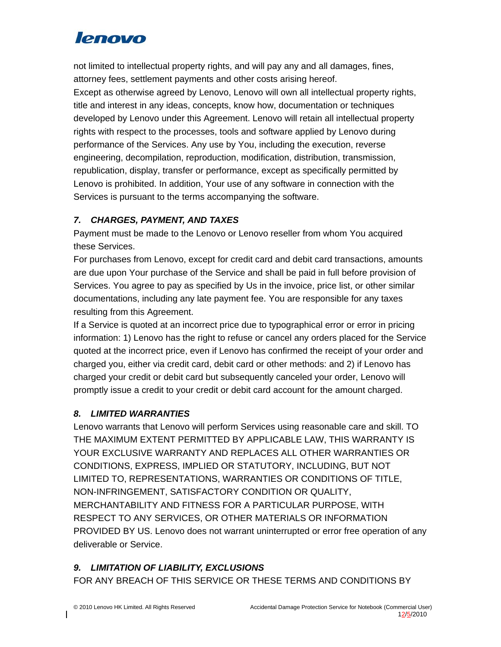not limited to intellectual property rights, and will pay any and all damages, fines, attorney fees, settlement payments and other costs arising hereof. Except as otherwise agreed by Lenovo, Lenovo will own all intellectual property rights, title and interest in any ideas, concepts, know how, documentation or techniques developed by Lenovo under this Agreement. Lenovo will retain all intellectual property rights with respect to the processes, tools and software applied by Lenovo during performance of the Services. Any use by You, including the execution, reverse engineering, decompilation, reproduction, modification, distribution, transmission, republication, display, transfer or performance, except as specifically permitted by Lenovo is prohibited. In addition, Your use of any software in connection with the Services is pursuant to the terms accompanying the software.

## *7. CHARGES, PAYMENT, AND TAXES*

Payment must be made to the Lenovo or Lenovo reseller from whom You acquired these Services.

For purchases from Lenovo, except for credit card and debit card transactions, amounts are due upon Your purchase of the Service and shall be paid in full before provision of Services. You agree to pay as specified by Us in the invoice, price list, or other similar documentations, including any late payment fee. You are responsible for any taxes resulting from this Agreement.

If a Service is quoted at an incorrect price due to typographical error or error in pricing information: 1) Lenovo has the right to refuse or cancel any orders placed for the Service quoted at the incorrect price, even if Lenovo has confirmed the receipt of your order and charged you, either via credit card, debit card or other methods: and 2) if Lenovo has charged your credit or debit card but subsequently canceled your order, Lenovo will promptly issue a credit to your credit or debit card account for the amount charged.

## *8. LIMITED WARRANTIES*

Lenovo warrants that Lenovo will perform Services using reasonable care and skill. TO THE MAXIMUM EXTENT PERMITTED BY APPLICABLE LAW, THIS WARRANTY IS YOUR EXCLUSIVE WARRANTY AND REPLACES ALL OTHER WARRANTIES OR CONDITIONS, EXPRESS, IMPLIED OR STATUTORY, INCLUDING, BUT NOT LIMITED TO, REPRESENTATIONS, WARRANTIES OR CONDITIONS OF TITLE, NON-INFRINGEMENT, SATISFACTORY CONDITION OR QUALITY, MERCHANTABILITY AND FITNESS FOR A PARTICULAR PURPOSE, WITH RESPECT TO ANY SERVICES, OR OTHER MATERIALS OR INFORMATION PROVIDED BY US. Lenovo does not warrant uninterrupted or error free operation of any deliverable or Service.

## *9. LIMITATION OF LIABILITY, EXCLUSIONS*

FOR ANY BREACH OF THIS SERVICE OR THESE TERMS AND CONDITIONS BY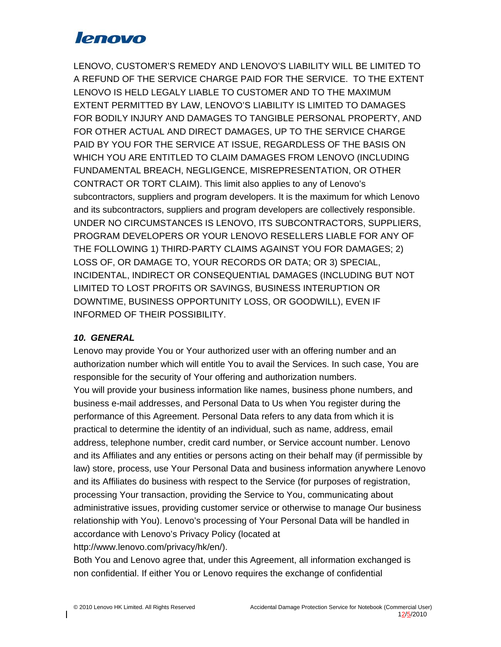LENOVO, CUSTOMER'S REMEDY AND LENOVO'S LIABILITY WILL BE LIMITED TO A REFUND OF THE SERVICE CHARGE PAID FOR THE SERVICE. TO THE EXTENT LENOVO IS HELD LEGALY LIABLE TO CUSTOMER AND TO THE MAXIMUM EXTENT PERMITTED BY LAW, LENOVO'S LIABILITY IS LIMITED TO DAMAGES FOR BODILY INJURY AND DAMAGES TO TANGIBLE PERSONAL PROPERTY, AND FOR OTHER ACTUAL AND DIRECT DAMAGES, UP TO THE SERVICE CHARGE PAID BY YOU FOR THE SERVICE AT ISSUE, REGARDLESS OF THE BASIS ON WHICH YOU ARE ENTITLED TO CLAIM DAMAGES FROM LENOVO (INCLUDING FUNDAMENTAL BREACH, NEGLIGENCE, MISREPRESENTATION, OR OTHER CONTRACT OR TORT CLAIM). This limit also applies to any of Lenovo's subcontractors, suppliers and program developers. It is the maximum for which Lenovo and its subcontractors, suppliers and program developers are collectively responsible. UNDER NO CIRCUMSTANCES IS LENOVO, ITS SUBCONTRACTORS, SUPPLIERS, PROGRAM DEVELOPERS OR YOUR LENOVO RESELLERS LIABLE FOR ANY OF THE FOLLOWING 1) THIRD-PARTY CLAIMS AGAINST YOU FOR DAMAGES; 2) LOSS OF, OR DAMAGE TO, YOUR RECORDS OR DATA; OR 3) SPECIAL, INCIDENTAL, INDIRECT OR CONSEQUENTIAL DAMAGES (INCLUDING BUT NOT LIMITED TO LOST PROFITS OR SAVINGS, BUSINESS INTERUPTION OR DOWNTIME, BUSINESS OPPORTUNITY LOSS, OR GOODWILL), EVEN IF INFORMED OF THEIR POSSIBILITY.

## *10. GENERAL*

Lenovo may provide You or Your authorized user with an offering number and an authorization number which will entitle You to avail the Services. In such case, You are responsible for the security of Your offering and authorization numbers. You will provide your business information like names, business phone numbers, and business e-mail addresses, and Personal Data to Us when You register during the performance of this Agreement. Personal Data refers to any data from which it is practical to determine the identity of an individual, such as name, address, email address, telephone number, credit card number, or Service account number. Lenovo and its Affiliates and any entities or persons acting on their behalf may (if permissible by law) store, process, use Your Personal Data and business information anywhere Lenovo and its Affiliates do business with respect to the Service (for purposes of registration, processing Your transaction, providing the Service to You, communicating about administrative issues, providing customer service or otherwise to manage Our business relationship with You). Lenovo's processing of Your Personal Data will be handled in accordance with Lenovo's Privacy Policy (located at http://www.lenovo.com/privacy/hk/en/).

Both You and Lenovo agree that, under this Agreement, all information exchanged is non confidential. If either You or Lenovo requires the exchange of confidential